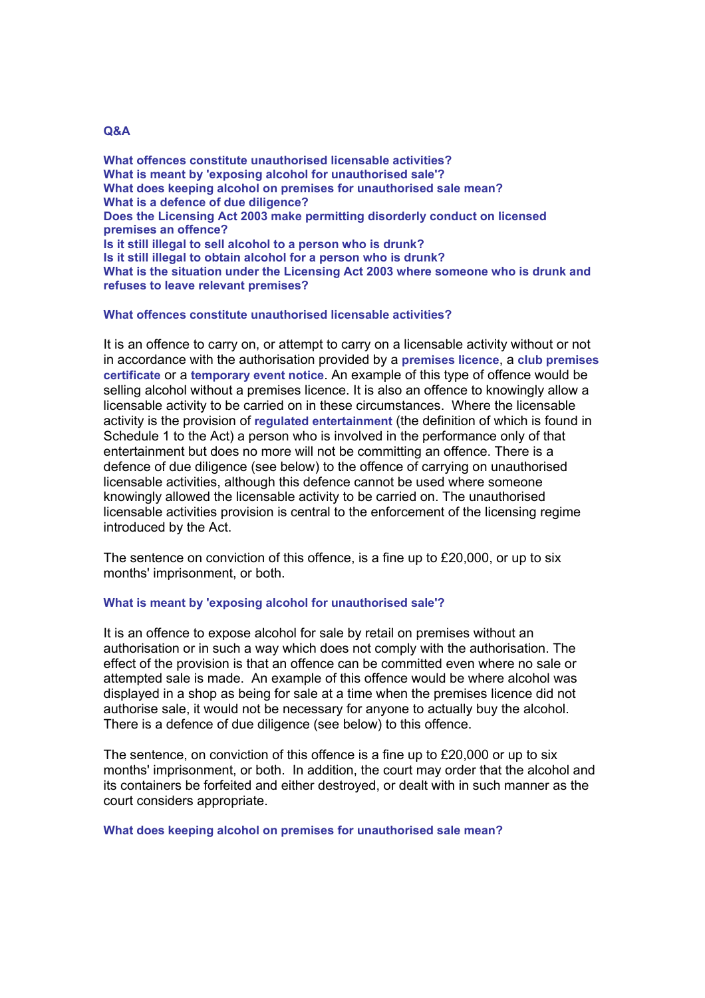## **Q&A**

**What offences constitute unauthorised licensable activities? What is meant by 'exposing alcohol for unauthorised sale'? What does keeping alcohol on premises for unauthorised sale mean? What is a defence of due diligence? Does the Licensing Act 2003 make permitting disorderly conduct on licensed premises an offence? Is it still illegal to sell alcohol to a person who is drunk? Is it still illegal to obtain alcohol for a person who is drunk? What is the situation under the Licensing Act 2003 where someone who is drunk and refuses to leave relevant premises?**

## **What offences constitute unauthorised licensable activities?**

It is an offence to carry on, or attempt to carry on a licensable activity without or not in accordance with the authorisation provided by a **premises licence**, a **club premises certificate** or a **temporary event notice**. An example of this type of offence would be selling alcohol without a premises licence. It is also an offence to knowingly allow a licensable activity to be carried on in these circumstances. Where the licensable activity is the provision of **regulated entertainment** (the definition of which is found in Schedule 1 to the Act) a person who is involved in the performance only of that entertainment but does no more will not be committing an offence. There is a defence of due diligence (see below) to the offence of carrying on unauthorised licensable activities, although this defence cannot be used where someone knowingly allowed the licensable activity to be carried on. The unauthorised licensable activities provision is central to the enforcement of the licensing regime introduced by the Act.

The sentence on conviction of this offence, is a fine up to £20,000, or up to six months' imprisonment, or both.

## **What is meant by 'exposing alcohol for unauthorised sale'?**

It is an offence to expose alcohol for sale by retail on premises without an authorisation or in such a way which does not comply with the authorisation. The effect of the provision is that an offence can be committed even where no sale or attempted sale is made. An example of this offence would be where alcohol was displayed in a shop as being for sale at a time when the premises licence did not authorise sale, it would not be necessary for anyone to actually buy the alcohol. There is a defence of due diligence (see below) to this offence.

The sentence, on conviction of this offence is a fine up to £20,000 or up to six months' imprisonment, or both. In addition, the court may order that the alcohol and its containers be forfeited and either destroyed, or dealt with in such manner as the court considers appropriate.

#### **What does keeping alcohol on premises for unauthorised sale mean?**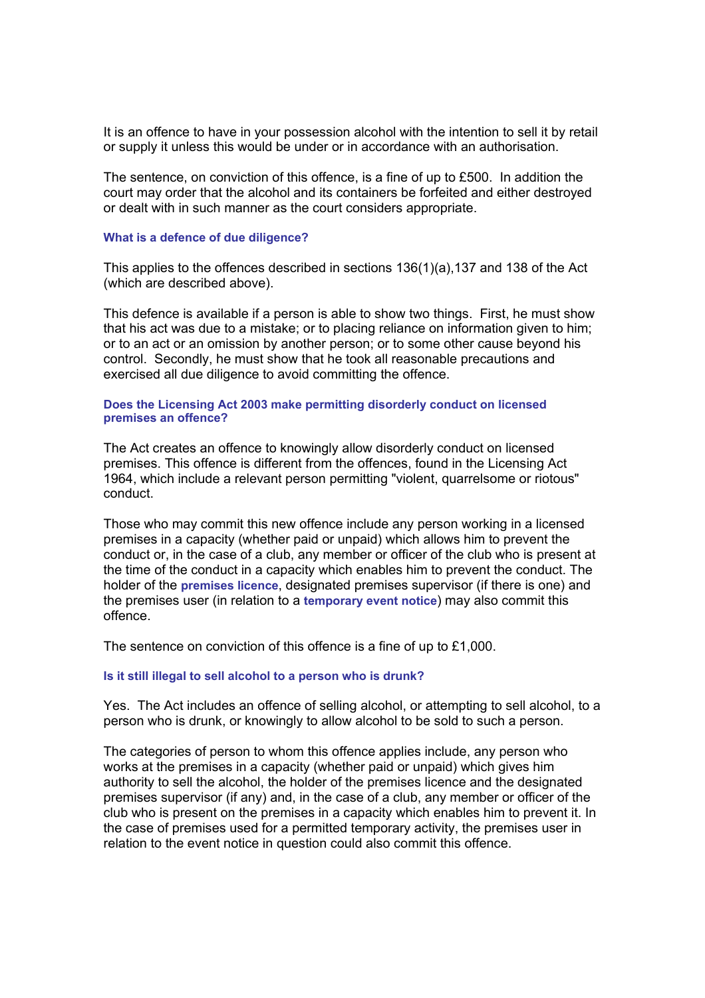It is an offence to have in your possession alcohol with the intention to sell it by retail or supply it unless this would be under or in accordance with an authorisation.

The sentence, on conviction of this offence, is a fine of up to £500. In addition the court may order that the alcohol and its containers be forfeited and either destroyed or dealt with in such manner as the court considers appropriate.

#### **What is a defence of due diligence?**

This applies to the offences described in sections 136(1)(a),137 and 138 of the Act (which are described above).

This defence is available if a person is able to show two things. First, he must show that his act was due to a mistake; or to placing reliance on information given to him; or to an act or an omission by another person; or to some other cause beyond his control. Secondly, he must show that he took all reasonable precautions and exercised all due diligence to avoid committing the offence.

#### **Does the Licensing Act 2003 make permitting disorderly conduct on licensed premises an offence?**

The Act creates an offence to knowingly allow disorderly conduct on licensed premises. This offence is different from the offences, found in the Licensing Act 1964, which include a relevant person permitting "violent, quarrelsome or riotous" conduct.

Those who may commit this new offence include any person working in a licensed premises in a capacity (whether paid or unpaid) which allows him to prevent the conduct or, in the case of a club, any member or officer of the club who is present at the time of the conduct in a capacity which enables him to prevent the conduct. The holder of the **premises licence**, designated premises supervisor (if there is one) and the premises user (in relation to a **temporary event notice**) may also commit this offence.

The sentence on conviction of this offence is a fine of up to £1,000.

#### **Is it still illegal to sell alcohol to a person who is drunk?**

Yes. The Act includes an offence of selling alcohol, or attempting to sell alcohol, to a person who is drunk, or knowingly to allow alcohol to be sold to such a person.

The categories of person to whom this offence applies include, any person who works at the premises in a capacity (whether paid or unpaid) which gives him authority to sell the alcohol, the holder of the premises licence and the designated premises supervisor (if any) and, in the case of a club, any member or officer of the club who is present on the premises in a capacity which enables him to prevent it. In the case of premises used for a permitted temporary activity, the premises user in relation to the event notice in question could also commit this offence.